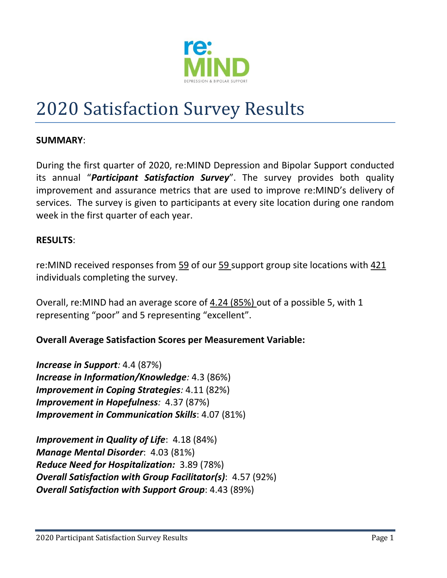

# 2020 Satisfaction Survey Results

#### **SUMMARY**:

During the first quarter of 2020, re:MIND Depression and Bipolar Support conducted its annual "*Participant Satisfaction Survey*". The survey provides both quality improvement and assurance metrics that are used to improve re:MIND's delivery of services. The survey is given to participants at every site location during one random week in the first quarter of each year.

#### **RESULTS**:

re:MIND received responses from 59 of our 59 support group site locations with 421 individuals completing the survey.

Overall, re:MIND had an average score of 4.24 (85%) out of a possible 5, with 1 representing "poor" and 5 representing "excellent".

#### **Overall Average Satisfaction Scores per Measurement Variable:**

*Increase in Support:* 4.4 (87%) *Increase in Information/Knowledge:* 4.3 (86%) *Improvement in Coping Strategies:* 4.11 (82%) *Improvement in Hopefulness:* 4.37 (87%) *Improvement in Communication Skills*: 4.07 (81%)

*Improvement in Quality of Life*: 4.18 (84%) *Manage Mental Disorder*: 4.03 (81%) *Reduce Need for Hospitalization:* 3.89 (78%) *Overall Satisfaction with Group Facilitator(s)*: 4.57 (92%) *Overall Satisfaction with Support Group*: 4.43 (89%)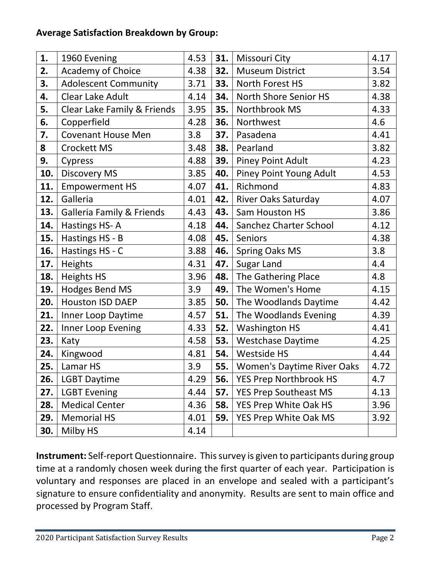## **Average Satisfaction Breakdown by Group:**

| 1.  | 1960 Evening                         | 4.53 | 31.        | Missouri City                     | 4.17 |
|-----|--------------------------------------|------|------------|-----------------------------------|------|
| 2.  | Academy of Choice                    | 4.38 | 32.        | <b>Museum District</b>            | 3.54 |
| 3.  | <b>Adolescent Community</b>          | 3.71 | 33.        | North Forest HS                   | 3.82 |
| 4.  | Clear Lake Adult                     | 4.14 | 34.        | North Shore Senior HS             | 4.38 |
| 5.  | Clear Lake Family & Friends          | 3.95 | 35.        | Northbrook MS                     | 4.33 |
| 6.  | Copperfield                          | 4.28 | 36.        | Northwest                         | 4.6  |
| 7.  | <b>Covenant House Men</b>            | 3.8  | 37.        | Pasadena                          | 4.41 |
| 8   | Crockett MS                          | 3.48 | 38.        | Pearland                          | 3.82 |
| 9.  | Cypress                              | 4.88 | 39.        | <b>Piney Point Adult</b>          | 4.23 |
| 10. | <b>Discovery MS</b>                  | 3.85 | 40.        | <b>Piney Point Young Adult</b>    | 4.53 |
| 11. | <b>Empowerment HS</b>                | 4.07 | 41.        | Richmond                          | 4.83 |
| 12. | Galleria                             | 4.01 | 42.        | River Oaks Saturday               | 4.07 |
| 13. | <b>Galleria Family &amp; Friends</b> | 4.43 | 43.        | Sam Houston HS                    | 3.86 |
| 14. | Hastings HS-A                        | 4.18 | 44.        | Sanchez Charter School            | 4.12 |
| 15. | Hastings HS - B                      | 4.08 | 45.        | Seniors                           | 4.38 |
| 16. | Hastings HS - C                      | 3.88 | 46.        | <b>Spring Oaks MS</b>             | 3.8  |
| 17. | Heights                              | 4.31 | 47.        | <b>Sugar Land</b>                 | 4.4  |
| 18. | <b>Heights HS</b>                    | 3.96 | 48.        | The Gathering Place               | 4.8  |
| 19. | Hodges Bend MS                       | 3.9  | 49.        | The Women's Home                  | 4.15 |
| 20. | <b>Houston ISD DAEP</b>              | 3.85 | 50.        | The Woodlands Daytime             | 4.42 |
| 21. | Inner Loop Daytime                   | 4.57 | 51.        | The Woodlands Evening             | 4.39 |
| 22. | Inner Loop Evening                   | 4.33 | 52.        | <b>Washington HS</b>              | 4.41 |
| 23. | Katy                                 | 4.58 | 53.        | <b>Westchase Daytime</b>          | 4.25 |
| 24. | Kingwood                             | 4.81 | <b>54.</b> | <b>Westside HS</b>                | 4.44 |
| 25. | Lamar HS                             | 3.9  | 55.        | <b>Women's Daytime River Oaks</b> | 4.72 |
| 26. | <b>LGBT Daytime</b>                  | 4.29 |            | 56.   YES Prep Northbrook HS      | 4.7  |
| 27. | <b>LGBT Evening</b>                  | 4.44 | 57.        | <b>YES Prep Southeast MS</b>      | 4.13 |
| 28. | <b>Medical Center</b>                | 4.36 | 58.        | YES Prep White Oak HS             | 3.96 |
| 29. | <b>Memorial HS</b>                   | 4.01 | 59.        | YES Prep White Oak MS             | 3.92 |
| 30. | Milby HS                             | 4.14 |            |                                   |      |

**Instrument:** Self-report Questionnaire. This survey is given to participants during group time at a randomly chosen week during the first quarter of each year. Participation is voluntary and responses are placed in an envelope and sealed with a participant's signature to ensure confidentiality and anonymity. Results are sent to main office and processed by Program Staff.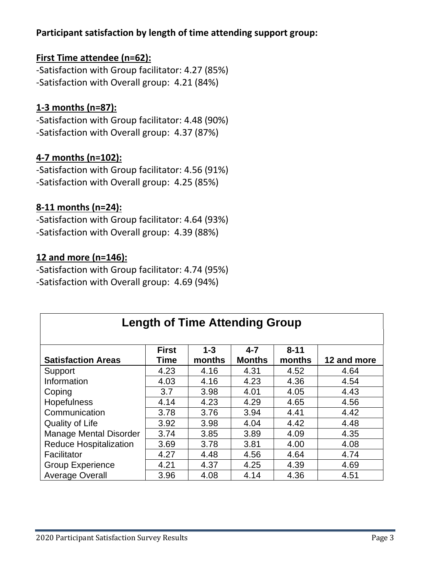## **Participant satisfaction by length of time attending support group:**

## **First Time attendee (n=62):**

-Satisfaction with Group facilitator: 4.27 (85%) -Satisfaction with Overall group: 4.21 (84%)

# **1-3 months (n=87):**

-Satisfaction with Group facilitator: 4.48 (90%) -Satisfaction with Overall group: 4.37 (87%)

## **4-7 months (n=102):**

-Satisfaction with Group facilitator: 4.56 (91%) -Satisfaction with Overall group: 4.25 (85%)

### **8-11 months (n=24):**

-Satisfaction with Group facilitator: 4.64 (93%) -Satisfaction with Overall group: 4.39 (88%)

#### **12 and more (n=146):**

-Satisfaction with Group facilitator: 4.74 (95%) -Satisfaction with Overall group: 4.69 (94%)

| <b>Length of Time Attending Group</b> |              |         |               |          |             |  |  |  |  |  |
|---------------------------------------|--------------|---------|---------------|----------|-------------|--|--|--|--|--|
|                                       |              |         |               |          |             |  |  |  |  |  |
|                                       | <b>First</b> | $1 - 3$ | $4 - 7$       | $8 - 11$ |             |  |  |  |  |  |
| <b>Satisfaction Areas</b>             | Time         | months  | <b>Months</b> | months   | 12 and more |  |  |  |  |  |
| Support                               | 4.23         | 4.16    | 4.31          | 4.52     | 4.64        |  |  |  |  |  |
| Information                           | 4.03         | 4.16    | 4.23          | 4.36     | 4.54        |  |  |  |  |  |
| Coping                                | 3.7          | 3.98    | 4.01          | 4.05     | 4.43        |  |  |  |  |  |
| <b>Hopefulness</b>                    | 4.14         | 4.23    | 4.29          | 4.65     | 4.56        |  |  |  |  |  |
| Communication                         | 3.78         | 3.76    | 3.94          | 4.41     | 4.42        |  |  |  |  |  |
| Quality of Life                       | 3.92         | 3.98    | 4.04          | 4.42     | 4.48        |  |  |  |  |  |
| <b>Manage Mental Disorder</b>         | 3.74         | 3.85    | 3.89          | 4.09     | 4.35        |  |  |  |  |  |
| <b>Reduce Hospitalization</b>         | 3.69         | 3.78    | 3.81          | 4.00     | 4.08        |  |  |  |  |  |
| Facilitator                           | 4.27         | 4.48    | 4.56          | 4.64     | 4.74        |  |  |  |  |  |
| <b>Group Experience</b>               | 4.21         | 4.37    | 4.25          | 4.39     | 4.69        |  |  |  |  |  |
| <b>Average Overall</b>                | 3.96         | 4.08    | 4.14          | 4.36     | 4.51        |  |  |  |  |  |